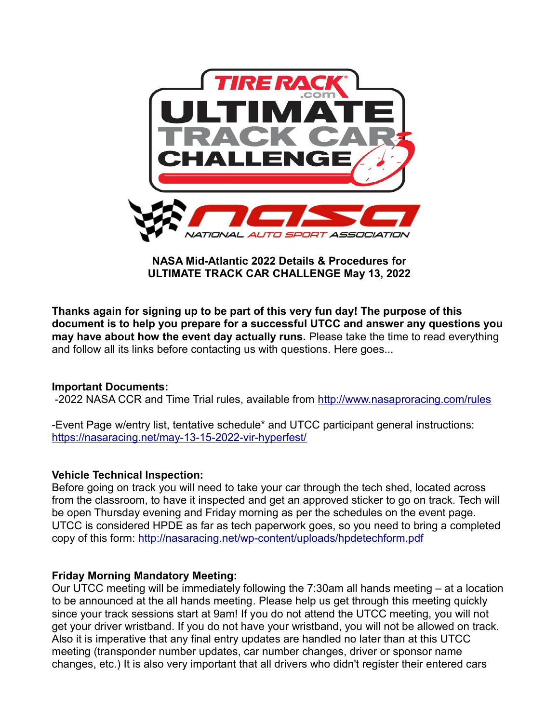

**NASA Mid-Atlantic 2022 Details & Procedures for ULTIMATE TRACK CAR CHALLENGE May 13, 2022**

**Thanks again for signing up to be part of this very fun day! The purpose of this document is to help you prepare for a successful UTCC and answer any questions you may have about how the event day actually runs.** Please take the time to read everything and follow all its links before contacting us with questions. Here goes...

### **Important Documents:**

-2022 NASA CCR and Time Trial rules, available from <http://www.nasaproracing.com/rules>

-Event Page w/entry list, tentative schedule\* and UTCC participant general instructions: https://nasaracing.net/may-13-15-2022-vir-hyperfest/

### **Vehicle Technical Inspection:**

Before going on track you will need to take your car through the tech shed, located across from the classroom, to have it inspected and get an approved sticker to go on track. Tech will be open Thursday evening and Friday morning as per the schedules on the event page. UTCC is considered HPDE as far as tech paperwork goes, so you need to bring a completed copy of this form:<http://nasaracing.net/wp-content/uploads/hpdetechform.pdf>

### **Friday Morning Mandatory Meeting:**

Our UTCC meeting will be immediately following the 7:30am all hands meeting – at a location to be announced at the all hands meeting. Please help us get through this meeting quickly since your track sessions start at 9am! If you do not attend the UTCC meeting, you will not get your driver wristband. If you do not have your wristband, you will not be allowed on track. Also it is imperative that any final entry updates are handled no later than at this UTCC meeting (transponder number updates, car number changes, driver or sponsor name changes, etc.) It is also very important that all drivers who didn't register their entered cars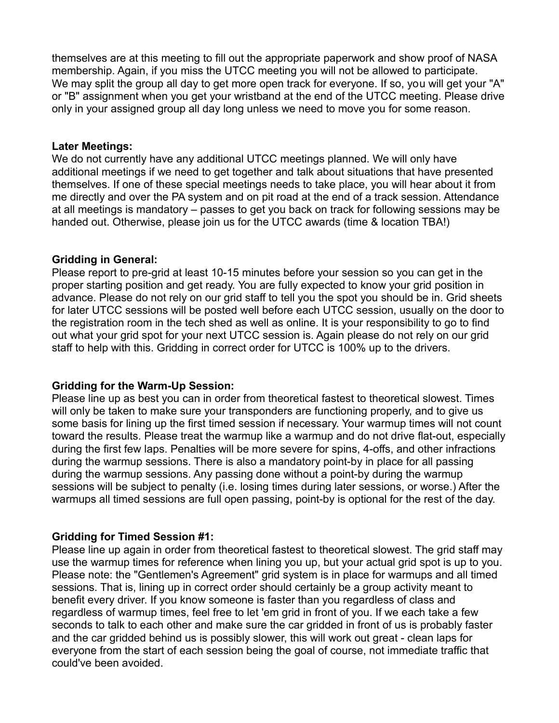themselves are at this meeting to fill out the appropriate paperwork and show proof of NASA membership. Again, if you miss the UTCC meeting you will not be allowed to participate. We may split the group all day to get more open track for everyone. If so, you will get your "A" or "B" assignment when you get your wristband at the end of the UTCC meeting. Please drive only in your assigned group all day long unless we need to move you for some reason.

#### **Later Meetings:**

We do not currently have any additional UTCC meetings planned. We will only have additional meetings if we need to get together and talk about situations that have presented themselves. If one of these special meetings needs to take place, you will hear about it from me directly and over the PA system and on pit road at the end of a track session. Attendance at all meetings is mandatory – passes to get you back on track for following sessions may be handed out. Otherwise, please join us for the UTCC awards (time & location TBA!)

### **Gridding in General:**

Please report to pre-grid at least 10-15 minutes before your session so you can get in the proper starting position and get ready. You are fully expected to know your grid position in advance. Please do not rely on our grid staff to tell you the spot you should be in. Grid sheets for later UTCC sessions will be posted well before each UTCC session, usually on the door to the registration room in the tech shed as well as online. It is your responsibility to go to find out what your grid spot for your next UTCC session is. Again please do not rely on our grid staff to help with this. Gridding in correct order for UTCC is 100% up to the drivers.

### **Gridding for the Warm-Up Session:**

Please line up as best you can in order from theoretical fastest to theoretical slowest. Times will only be taken to make sure your transponders are functioning properly, and to give us some basis for lining up the first timed session if necessary. Your warmup times will not count toward the results. Please treat the warmup like a warmup and do not drive flat-out, especially during the first few laps. Penalties will be more severe for spins, 4-offs, and other infractions during the warmup sessions. There is also a mandatory point-by in place for all passing during the warmup sessions. Any passing done without a point-by during the warmup sessions will be subject to penalty (i.e. losing times during later sessions, or worse.) After the warmups all timed sessions are full open passing, point-by is optional for the rest of the day.

# **Gridding for Timed Session #1:**

Please line up again in order from theoretical fastest to theoretical slowest. The grid staff may use the warmup times for reference when lining you up, but your actual grid spot is up to you. Please note: the "Gentlemen's Agreement" grid system is in place for warmups and all timed sessions. That is, lining up in correct order should certainly be a group activity meant to benefit every driver. If you know someone is faster than you regardless of class and regardless of warmup times, feel free to let 'em grid in front of you. If we each take a few seconds to talk to each other and make sure the car gridded in front of us is probably faster and the car gridded behind us is possibly slower, this will work out great - clean laps for everyone from the start of each session being the goal of course, not immediate traffic that could've been avoided.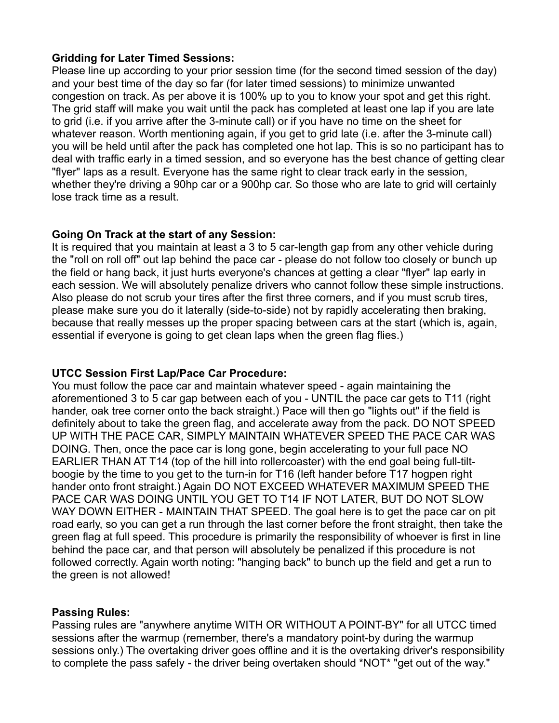### **Gridding for Later Timed Sessions:**

Please line up according to your prior session time (for the second timed session of the day) and your best time of the day so far (for later timed sessions) to minimize unwanted congestion on track. As per above it is 100% up to you to know your spot and get this right. The grid staff will make you wait until the pack has completed at least one lap if you are late to grid (i.e. if you arrive after the 3-minute call) or if you have no time on the sheet for whatever reason. Worth mentioning again, if you get to grid late (i.e. after the 3-minute call) you will be held until after the pack has completed one hot lap. This is so no participant has to deal with traffic early in a timed session, and so everyone has the best chance of getting clear "flyer" laps as a result. Everyone has the same right to clear track early in the session, whether they're driving a 90hp car or a 900hp car. So those who are late to grid will certainly lose track time as a result.

## **Going On Track at the start of any Session:**

It is required that you maintain at least a 3 to 5 car-length gap from any other vehicle during the "roll on roll off" out lap behind the pace car - please do not follow too closely or bunch up the field or hang back, it just hurts everyone's chances at getting a clear "flyer" lap early in each session. We will absolutely penalize drivers who cannot follow these simple instructions. Also please do not scrub your tires after the first three corners, and if you must scrub tires, please make sure you do it laterally (side-to-side) not by rapidly accelerating then braking, because that really messes up the proper spacing between cars at the start (which is, again, essential if everyone is going to get clean laps when the green flag flies.)

# **UTCC Session First Lap/Pace Car Procedure:**

You must follow the pace car and maintain whatever speed - again maintaining the aforementioned 3 to 5 car gap between each of you - UNTIL the pace car gets to T11 (right hander, oak tree corner onto the back straight.) Pace will then go "lights out" if the field is definitely about to take the green flag, and accelerate away from the pack. DO NOT SPEED UP WITH THE PACE CAR, SIMPLY MAINTAIN WHATEVER SPEED THE PACE CAR WAS DOING. Then, once the pace car is long gone, begin accelerating to your full pace NO EARLIER THAN AT T14 (top of the hill into rollercoaster) with the end goal being full-tiltboogie by the time to you get to the turn-in for T16 (left hander before T17 hogpen right hander onto front straight.) Again DO NOT EXCEED WHATEVER MAXIMUM SPEED THE PACE CAR WAS DOING UNTIL YOU GET TO T14 IF NOT LATER, BUT DO NOT SLOW WAY DOWN EITHER - MAINTAIN THAT SPEED. The goal here is to get the pace car on pit road early, so you can get a run through the last corner before the front straight, then take the green flag at full speed. This procedure is primarily the responsibility of whoever is first in line behind the pace car, and that person will absolutely be penalized if this procedure is not followed correctly. Again worth noting: "hanging back" to bunch up the field and get a run to the green is not allowed!

# **Passing Rules:**

Passing rules are "anywhere anytime WITH OR WITHOUT A POINT-BY" for all UTCC timed sessions after the warmup (remember, there's a mandatory point-by during the warmup sessions only.) The overtaking driver goes offline and it is the overtaking driver's responsibility to complete the pass safely - the driver being overtaken should \*NOT\* "get out of the way."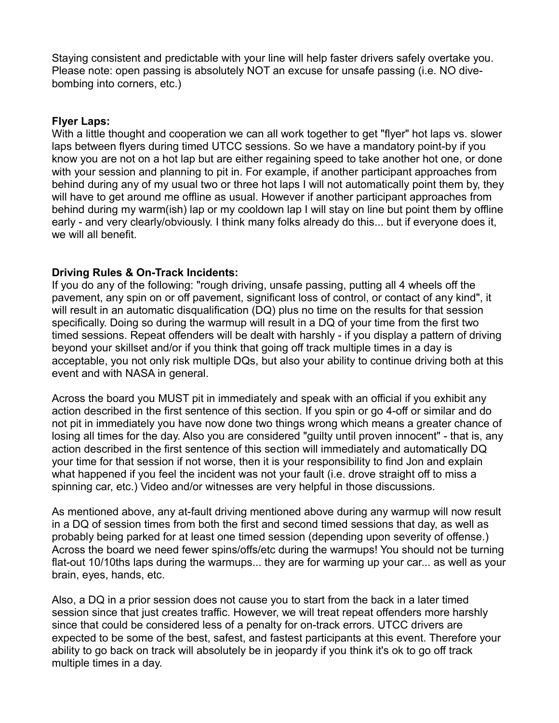Staying consistent and predictable with your line will help faster drivers safely overtake you. Please note: open passing is absolutely NOT an excuse for unsafe passing (i.e. NO divebombing into corners, etc.)

#### **Flyer Laps:**

With a little thought and cooperation we can all work together to get "flyer" hot laps vs. slower laps between flyers during timed UTCC sessions. So we have a mandatory point-by if you know you are not on a hot lap but are either regaining speed to take another hot one, or done with your session and planning to pit in. For example, if another participant approaches from behind during any of my usual two or three hot laps I will not automatically point them by, they will have to get around me offline as usual. However if another participant approaches from behind during my warm(ish) lap or my cooldown lap I will stay on line but point them by offline early - and very clearly/obviously. I think many folks already do this... but if everyone does it, we will all benefit.

### **Driving Rules & On-Track Incidents:**

If you do any of the following: "rough driving, unsafe passing, putting all 4 wheels off the pavement, any spin on or off pavement, significant loss of control, or contact of any kind", it will result in an automatic disqualification (DQ) plus no time on the results for that session specifically. Doing so during the warmup will result in a DQ of your time from the first two timed sessions. Repeat offenders will be dealt with harshly - if you display a pattern of driving beyond your skillset and/or if you think that going off track multiple times in a day is acceptable, you not only risk multiple DQs, but also your ability to continue driving both at this event and with NASA in general.

Across the board you MUST pit in immediately and speak with an official if you exhibit any action described in the first sentence of this section. If you spin or go 4-off or similar and do not pit in immediately you have now done two things wrong which means a greater chance of losing all times for the day. Also you are considered "guilty until proven innocent" - that is, any action described in the first sentence of this section will immediately and automatically DQ your time for that session if not worse, then it is your responsibility to find Jon and explain what happened if you feel the incident was not your fault (i.e. drove straight off to miss a spinning car, etc.) Video and/or witnesses are very helpful in those discussions.

As mentioned above, any at-fault driving mentioned above during any warmup will now result in a DQ of session times from both the first and second timed sessions that day, as well as probably being parked for at least one timed session (depending upon severity of offense.) Across the board we need fewer spins/offs/etc during the warmups! You should not be turning flat-out 10/10ths laps during the warmups... they are for warming up your car... as well as your brain, eyes, hands, etc.

Also, a DQ in a prior session does not cause you to start from the back in a later timed session since that just creates traffic. However, we will treat repeat offenders more harshly since that could be considered less of a penalty for on-track errors. UTCC drivers are expected to be some of the best, safest, and fastest participants at this event. Therefore your ability to go back on track will absolutely be in jeopardy if you think it's ok to go off track multiple times in a day.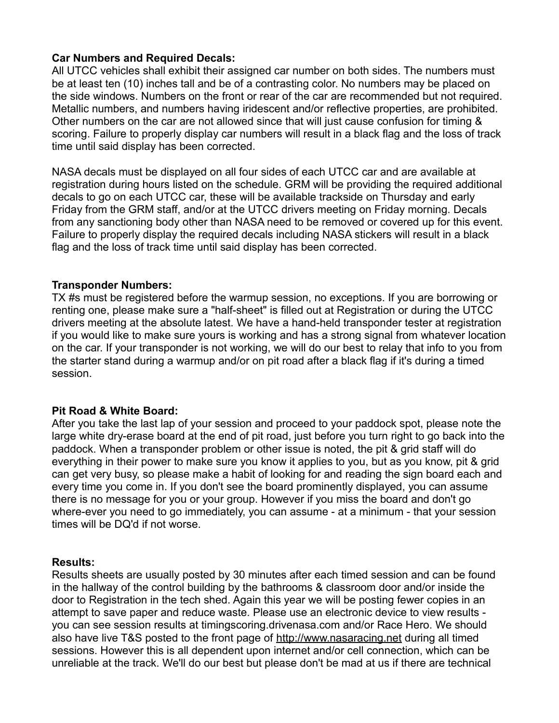### **Car Numbers and Required Decals:**

All UTCC vehicles shall exhibit their assigned car number on both sides. The numbers must be at least ten (10) inches tall and be of a contrasting color. No numbers may be placed on the side windows. Numbers on the front or rear of the car are recommended but not required. Metallic numbers, and numbers having iridescent and/or reflective properties, are prohibited. Other numbers on the car are not allowed since that will just cause confusion for timing & scoring. Failure to properly display car numbers will result in a black flag and the loss of track time until said display has been corrected.

NASA decals must be displayed on all four sides of each UTCC car and are available at registration during hours listed on the schedule. GRM will be providing the required additional decals to go on each UTCC car, these will be available trackside on Thursday and early Friday from the GRM staff, and/or at the UTCC drivers meeting on Friday morning. Decals from any sanctioning body other than NASA need to be removed or covered up for this event. Failure to properly display the required decals including NASA stickers will result in a black flag and the loss of track time until said display has been corrected.

## **Transponder Numbers:**

TX #s must be registered before the warmup session, no exceptions. If you are borrowing or renting one, please make sure a "half-sheet" is filled out at Registration or during the UTCC drivers meeting at the absolute latest. We have a hand-held transponder tester at registration if you would like to make sure yours is working and has a strong signal from whatever location on the car. If your transponder is not working, we will do our best to relay that info to you from the starter stand during a warmup and/or on pit road after a black flag if it's during a timed session.

### **Pit Road & White Board:**

After you take the last lap of your session and proceed to your paddock spot, please note the large white dry-erase board at the end of pit road, just before you turn right to go back into the paddock. When a transponder problem or other issue is noted, the pit & grid staff will do everything in their power to make sure you know it applies to you, but as you know, pit & grid can get very busy, so please make a habit of looking for and reading the sign board each and every time you come in. If you don't see the board prominently displayed, you can assume there is no message for you or your group. However if you miss the board and don't go where-ever you need to go immediately, you can assume - at a minimum - that your session times will be DQ'd if not worse.

### **Results:**

Results sheets are usually posted by 30 minutes after each timed session and can be found in the hallway of the control building by the bathrooms & classroom door and/or inside the door to Registration in the tech shed. Again this year we will be posting fewer copies in an attempt to save paper and reduce waste. Please use an electronic device to view results you can see session results at timingscoring.drivenasa.com and/or Race Hero. We should also have live T&S posted to the front page of [http://www.nasaracing.net](http://www.nasaracing.net/) during all timed sessions. However this is all dependent upon internet and/or cell connection, which can be unreliable at the track. We'll do our best but please don't be mad at us if there are technical